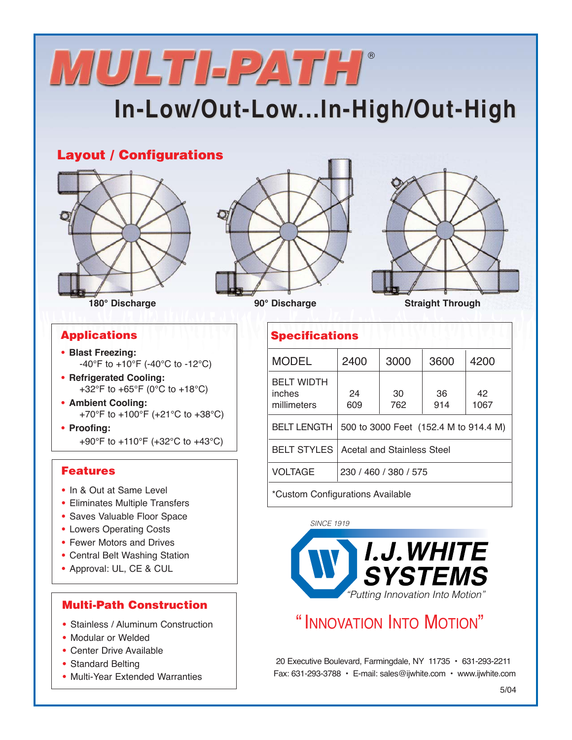# **MULTI-PATH**®

# **In-Low/Out-Low In-Low/Out-Low...In-High/Out-High ...In-High/Out-High**

## **Layout / Configurations**







### **Applications**

- **• Blast Freezing:** -40°F to +10°F (-40°C to -12°C)
- **• Refrigerated Cooling:** +32°F to +65°F (0°C to +18°C)
- **• Ambient Cooling:** +70°F to +100°F (+21°C to +38°C)
- **• Proofing:** +90°F to +110°F (+32°C to +43°C)

### **Features**

- **•** In & Out at Same Level
- **•** Eliminates Multiple Transfers
- **•** Saves Valuable Floor Space
- **•** Lowers Operating Costs
- **•** Fewer Motors and Drives
- **•** Central Belt Washing Station
- **•** Approval: UL, CE & CUL

### **Multi-Path Construction**

- **•** Stainless / Aluminum Construction
- **•** Modular or Welded
- **•** Center Drive Available
- **•** Standard Belting
- **•** Multi-Year Extended Warranties

| <b>Specifications</b>                      |                                       |           |           |            |
|--------------------------------------------|---------------------------------------|-----------|-----------|------------|
| <b>MODEL</b>                               | 2400                                  | 3000      | 3600      | 4200       |
| <b>BELT WIDTH</b><br>inches<br>millimeters | 24<br>609                             | 30<br>762 | 36<br>914 | 42<br>1067 |
| <b>BELT LENGTH</b>                         | 500 to 3000 Feet (152.4 M to 914.4 M) |           |           |            |
| <b>BELT STYLES</b>                         | <b>Acetal and Stainless Steel</b>     |           |           |            |
| <b>VOLTAGE</b>                             | 230 / 460 / 380 / 575                 |           |           |            |
| *Custom Configurations Available           |                                       |           |           |            |

SINCE 1919 I.J.WHITE **SYSTEMS** 

"Putting Innovation Into Motion"

# " INNOVATION INTO MOTION"

20 Executive Boulevard, Farmingdale, NY 11735 • 631-293-2211 Fax: 631-293-3788 • E-mail: sales@ijwhite.com • www.ijwhite.com